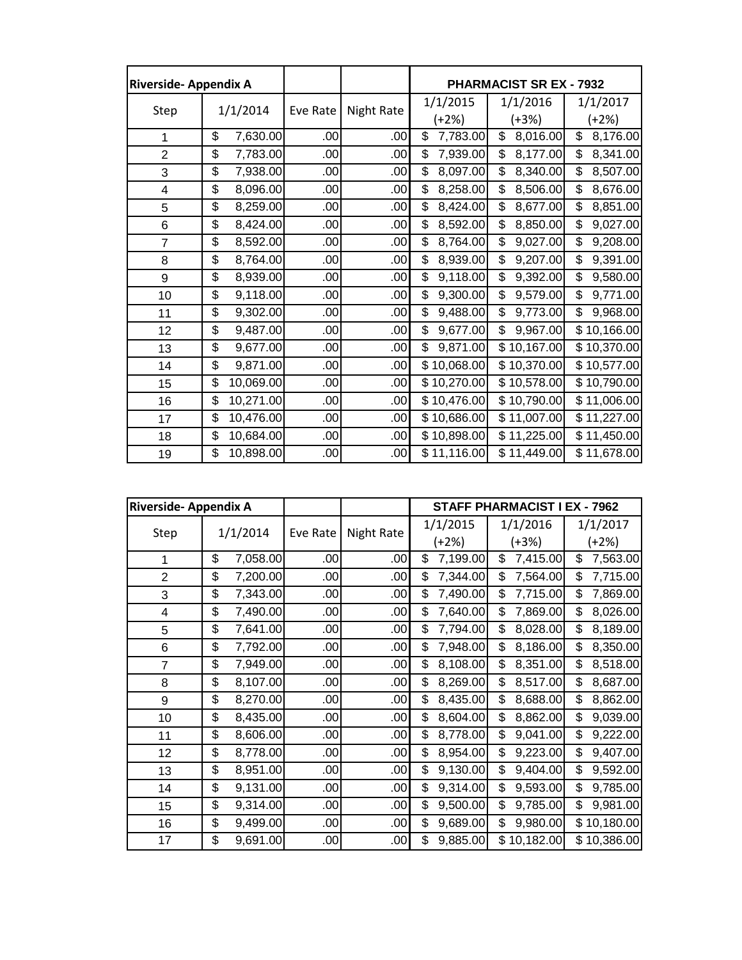| Riverside- Appendix A |                 |          |                   |                 | <b>PHARMACIST SR EX - 7932</b> |                |
|-----------------------|-----------------|----------|-------------------|-----------------|--------------------------------|----------------|
| Step                  | 1/1/2014        | Eve Rate | <b>Night Rate</b> | 1/1/2015        | 1/1/2016                       | 1/1/2017       |
|                       |                 |          |                   | $(+2%)$         | (+3%)                          | (+2%)          |
| 1                     | \$<br>7,630.00  | .00      | .00               | \$<br>7,783.00  | \$<br>8,016.00                 | \$<br>8,176.00 |
| $\overline{2}$        | \$<br>7,783.00  | .00      | .00               | \$<br>7,939.00  | \$<br>8,177.00                 | 8,341.00<br>\$ |
| 3                     | \$<br>7,938.00  | .00      | .00               | \$<br>8,097.00  | \$<br>8,340.00                 | \$<br>8,507.00 |
| $\overline{4}$        | \$<br>8,096.00  | .00      | .00               | \$<br>8,258.00  | \$<br>8,506.00                 | \$<br>8,676.00 |
| 5                     | \$<br>8,259.00  | .00      | .00               | \$<br>8,424.00  | \$<br>8,677.00                 | 8,851.00<br>\$ |
| 6                     | \$<br>8,424.00  | .00      | .00               | \$<br>8,592.00  | \$<br>8,850.00                 | \$<br>9,027.00 |
| $\overline{7}$        | \$<br>8,592.00  | .00      | .00               | \$<br>8,764.00  | \$<br>9,027.00                 | \$<br>9,208.00 |
| 8                     | \$<br>8,764.00  | .00      | .00               | \$<br>8,939.00  | \$<br>9,207.00                 | \$<br>9,391.00 |
| 9                     | \$<br>8,939.00  | .00      | .00               | \$<br>9,118.00  | \$<br>9,392.00                 | \$<br>9,580.00 |
| 10                    | \$<br>9,118.00  | .00      | .00               | \$<br>9,300.00  | \$<br>9,579.00                 | \$<br>9,771.00 |
| 11                    | \$<br>9,302.00  | .00      | .00               | \$<br>9,488.00  | \$<br>9,773.00                 | \$<br>9,968.00 |
| 12                    | \$<br>9,487.00  | .00      | .00               | \$<br>9,677.00  | \$<br>9,967.00                 | \$10,166.00    |
| 13                    | \$<br>9,677.00  | .00      | .00               | \$<br>9,871.00  | \$10,167.00                    | \$10,370.00    |
| 14                    | \$<br>9,871.00  | .00      | .00               | 10,068.00<br>\$ | \$10,370.00                    | \$10,577.00    |
| 15                    | \$<br>10,069.00 | .00      | .00 <sub>l</sub>  | \$10,270.00     | \$10,578.00                    | \$10,790.00    |
| 16                    | \$<br>10,271.00 | .00      | .00               | \$10,476.00     | \$10,790.00                    | \$11,006.00    |
| 17                    | \$<br>10,476.00 | .00      | .00               | \$10,686.00     | \$11,007.00]                   | \$11,227.00    |
| 18                    | \$<br>10,684.00 | .00      | .00               | \$10,898.00     | \$11,225.00                    | \$11,450.00    |
| 19                    | \$<br>10,898.00 | .00      | .00               | \$11,116.00     | \$11,449.00                    | \$11,678.00    |

| Riverside- Appendix A |                |          |                   |                | <b>STAFF PHARMACIST I EX - 7962</b> |                |
|-----------------------|----------------|----------|-------------------|----------------|-------------------------------------|----------------|
| Step                  | 1/1/2014       | Eve Rate | <b>Night Rate</b> | 1/1/2015       | 1/1/2016                            | 1/1/2017       |
|                       |                |          |                   | $(+2%)$        | $(+3%)$                             | $(+2%)$        |
| 1                     | \$<br>7,058.00 | .00      | .00               | \$<br>7,199.00 | \$<br>7,415.00                      | \$<br>7,563.00 |
| $\overline{2}$        | \$<br>7,200.00 | .00      | .00               | \$<br>7,344.00 | \$<br>7,564.00                      | \$<br>7,715.00 |
| 3                     | \$<br>7,343.00 | .00      | .00               | \$<br>7,490.00 | \$<br>7,715.00                      | \$<br>7,869.00 |
| 4                     | \$<br>7,490.00 | .00      | .00               | 7,640.00<br>\$ | \$<br>7,869.00                      | 8,026.00<br>\$ |
| 5                     | \$<br>7,641.00 | .00      | .00               | 7,794.00<br>\$ | \$<br>8,028.00                      | 8,189.00<br>\$ |
| 6                     | \$<br>7,792.00 | .00      | .00               | \$<br>7,948.00 | \$<br>8,186.00                      | \$<br>8,350.00 |
| 7                     | \$<br>7,949.00 | .00      | .00               | \$<br>8,108.00 | \$<br>8,351.00                      | \$<br>8,518.00 |
| 8                     | \$<br>8,107.00 | .00      | .00               | 8,269.00<br>\$ | 8,517.00<br>\$                      | 8,687.00<br>\$ |
| 9                     | \$<br>8,270.00 | .00      | .00               | \$<br>8,435.00 | \$<br>8,688.00                      | \$<br>8,862.00 |
| 10                    | \$<br>8,435.00 | .00      | .00               | \$<br>8,604.00 | \$<br>8,862.00                      | \$<br>9,039.00 |
| 11                    | \$<br>8,606.00 | .00      | .00               | 8,778.00<br>\$ | \$<br>9,041.00                      | 9,222.00<br>\$ |
| 12                    | \$<br>8,778.00 | .00      | .00               | 8,954.00<br>\$ | 9,223.00<br>\$                      | 9,407.00<br>\$ |
| 13                    | \$<br>8,951.00 | .00      | .00               | \$<br>9,130.00 | \$<br>9,404.00                      | \$<br>9,592.00 |
| 14                    | \$<br>9,131.00 | .00      | .00               | \$<br>9,314.00 | \$<br>9,593.00                      | \$<br>9,785.00 |
| 15                    | \$<br>9,314.00 | .00      | .00               | 9,500.00<br>\$ | \$<br>9,785.00                      | 9,981.00<br>\$ |
| 16                    | \$<br>9,499.00 | .00      | .00               | \$<br>9,689.00 | \$<br>9,980.00                      | \$10,180.00    |
| 17                    | \$<br>9,691.00 | .00      | .00               | \$<br>9,885.00 | \$10,182.00                         | \$10,386.00    |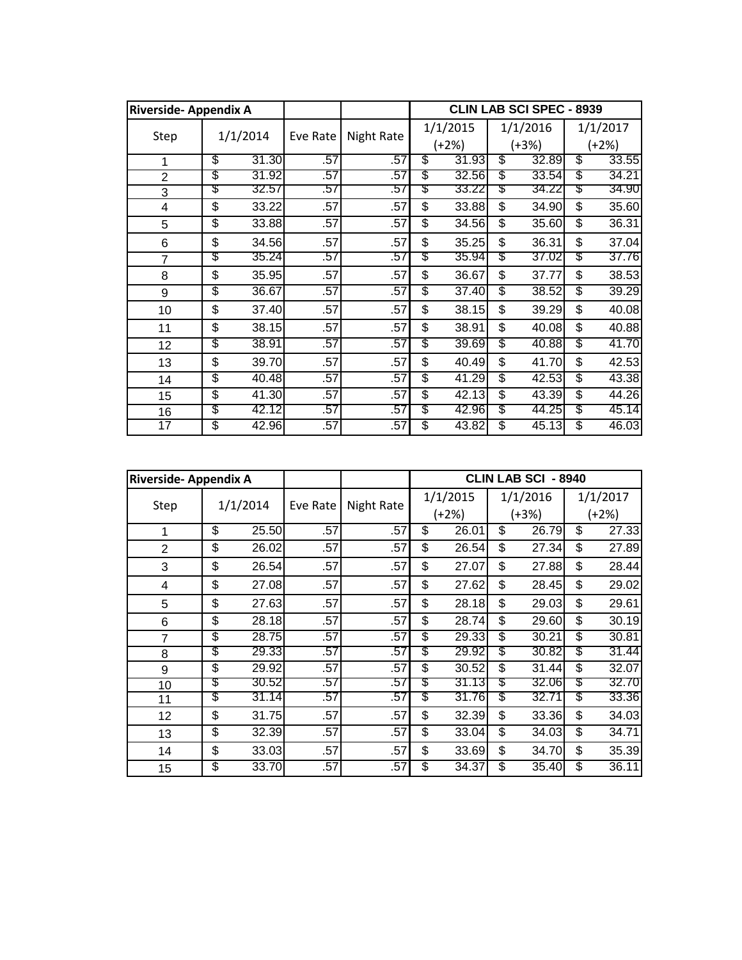| Riverside- Appendix A |             |          |            |    |          |    | <b>CLIN LAB SCI SPEC - 8939</b> |          |         |
|-----------------------|-------------|----------|------------|----|----------|----|---------------------------------|----------|---------|
| Step                  | 1/1/2014    | Eve Rate | Night Rate |    | 1/1/2015 |    | 1/1/2016                        | 1/1/2017 |         |
|                       |             |          |            |    | $(+2%)$  |    | $(+3%)$                         |          | $(+2%)$ |
| 1                     | \$<br>31.30 | .57      | .57        | \$ | 31.93    | \$ | 32.89                           | \$       | 33.55   |
| $\overline{2}$        | \$<br>31.92 | .57      | .57        | \$ | 32.56    | \$ | 33.54                           | \$       | 34.21   |
| 3                     | \$<br>32.57 | .57      | .57        | \$ | 33.22    | S  | 34.22                           | S        | 34.90   |
| 4                     | \$<br>33.22 | .57      | .57        | \$ | 33.88    | \$ | 34.90                           | \$       | 35.60   |
| 5                     | \$<br>33.88 | .57      | .57        | \$ | 34.56    | \$ | 35.60                           | \$       | 36.31   |
| 6                     | \$<br>34.56 | .57      | .57        | \$ | 35.25    | \$ | 36.31                           | \$       | 37.04   |
| $\overline{7}$        | \$<br>35.24 | .57      | .57        | S  | 35.94    | S  | 37.02                           | S        | 37.76   |
| 8                     | \$<br>35.95 | .57      | .57        | \$ | 36.67    | \$ | 37.77                           | \$       | 38.53   |
| 9                     | \$<br>36.67 | .57      | .57        | \$ | 37.40    | S  | 38.52                           | \$       | 39.29   |
| 10                    | \$<br>37.40 | .57      | .57        | \$ | 38.15    | \$ | 39.29                           | \$       | 40.08   |
| 11                    | \$<br>38.15 | .57      | .57        | \$ | 38.91    | \$ | 40.08                           | \$       | 40.88   |
| 12                    | \$<br>38.91 | .57      | .57        | S  | 39.69    | \$ | 40.88                           | \$       | 41.70   |
| 13                    | \$<br>39.70 | .57      | .57        | \$ | 40.49    | \$ | 41.70                           | \$       | 42.53   |
| 14                    | \$<br>40.48 | .57      | .57        | \$ | 41.29    | \$ | 42.53                           | \$       | 43.38   |
| 15                    | \$<br>41.30 | .57      | .57        | \$ | 42.13    | \$ | 43.39                           | \$       | 44.26   |
| 16                    | \$<br>42.12 | .57      | .57        | S  | 42.96    | S  | 44.25                           | \$       | 45.14   |
| 17                    | \$<br>42.96 | .57      | .57        | \$ | 43.82    | \$ | 45.13                           | \$       | 46.03   |

| <b>Riverside- Appendix A</b> |    |          |          |            |    |          |    | <b>CLIN LAB SCI - 8940</b> |    |          |
|------------------------------|----|----------|----------|------------|----|----------|----|----------------------------|----|----------|
|                              |    | 1/1/2014 |          | Night Rate |    | 1/1/2015 |    | 1/1/2016                   |    | 1/1/2017 |
| Step                         |    |          | Eve Rate |            |    | $(+2%)$  |    | $(+3%)$                    |    | (+2%)    |
| 1                            | \$ | 25.50    | .57      | .57        | \$ | 26.01    | \$ | 26.79                      | \$ | 27.33    |
| 2                            | \$ | 26.02    | .57      | .57        | \$ | 26.54    | \$ | 27.34                      | \$ | 27.89    |
| 3                            | \$ | 26.54    | .57      | .57        | \$ | 27.07    | \$ | 27.88                      | \$ | 28.44    |
| 4                            | \$ | 27.08    | .57      | .57        | \$ | 27.62    | \$ | 28.45                      | \$ | 29.02    |
| 5                            | \$ | 27.63    | .57      | .57        | \$ | 28.18    | \$ | 29.03                      | \$ | 29.61    |
| 6                            | \$ | 28.18    | .57      | .57        | \$ | 28.74    | \$ | 29.60                      | \$ | 30.19    |
| $\overline{7}$               | \$ | 28.75    | .57      | .57        | S  | 29.33    | \$ | 30.21                      | \$ | 30.81    |
| 8                            | \$ | 29.33    | .57      | .57        | S  | 29.92    | \$ | 30.82                      | \$ | 31.44    |
| 9                            | \$ | 29.92    | .57      | .57        | \$ | 30.52    | \$ | 31.44                      | \$ | 32.07    |
| 10                           | S  | 30.52    | .57      | .57        | S  | 31.13    | S  | 32.06                      | S  | 32.70    |
| 11                           | \$ | 31.14    | .57      | .57        | \$ | 31.76    | \$ | 32.71                      | \$ | 33.36    |
| 12                           | \$ | 31.75    | .57      | .57        | \$ | 32.39    | \$ | 33.36                      | \$ | 34.03    |
| 13                           | \$ | 32.39    | .57      | .57        | \$ | 33.04    | \$ | 34.03                      | \$ | 34.71    |
| 14                           | \$ | 33.03    | .57      | .57        | \$ | 33.69    | \$ | 34.70                      | \$ | 35.39    |
| 15                           | \$ | 33.70    | .57      | .57        | \$ | 34.37    | \$ | 35.40                      | \$ | 36.11    |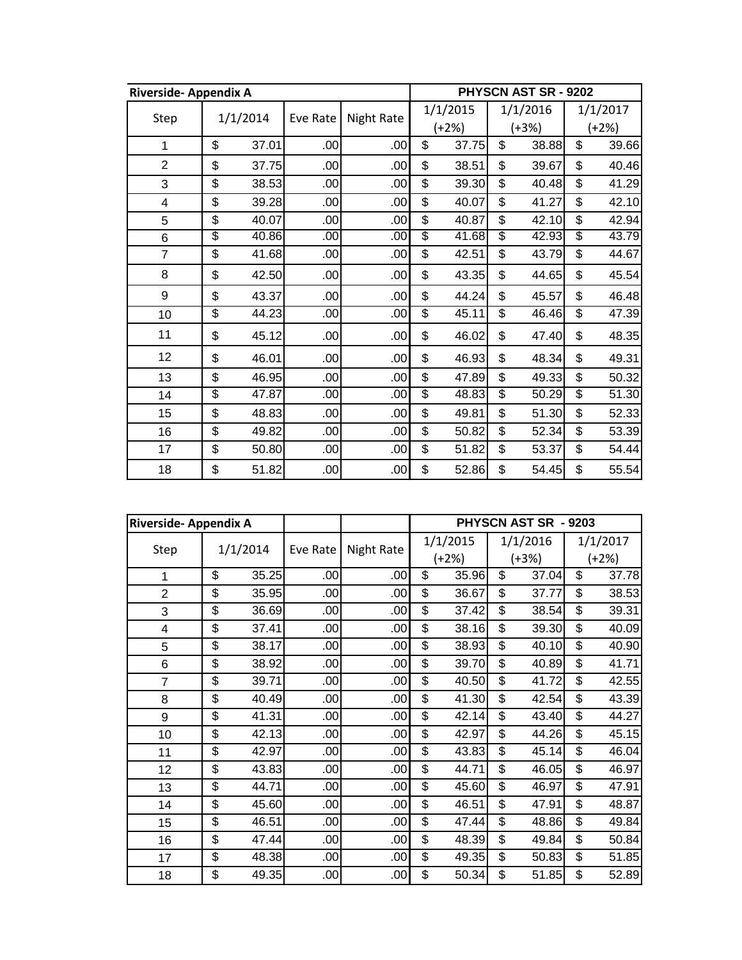| <b>Riverside-Appendix A</b> |                 |          |                  |            | PHYSCN AST SR - 9202     |          |                         |          |                          |          |
|-----------------------------|-----------------|----------|------------------|------------|--------------------------|----------|-------------------------|----------|--------------------------|----------|
| Step                        |                 | 1/1/2014 | Eve Rate         | Night Rate |                          | 1/1/2015 |                         | 1/1/2016 |                          | 1/1/2017 |
|                             |                 |          |                  |            |                          | $(+2%)$  |                         | (+3%)    | $(+2%)$                  |          |
| 1                           | \$              | 37.01    | .00              | .00        | \$                       | 37.75    | \$                      | 38.88    | \$                       | 39.66    |
| $\overline{2}$              | \$              | 37.75    | .00              | .00        | \$                       | 38.51    | \$                      | 39.67    | \$                       | 40.46    |
| 3                           | \$              | 38.53    | .00              | .00        | \$                       | 39.30    | \$                      | 40.48    | \$                       | 41.29    |
| 4                           | \$              | 39.28    | .00 <sub>l</sub> | .00        | \$                       | 40.07    | \$                      | 41.27    | \$                       | 42.10    |
| 5                           | \$              | 40.07    | .00              | .00        | \$                       | 40.87    | \$                      | 42.10    | \$                       | 42.94    |
| 6                           | \$              | 40.86    | $.00 \,$         | .00        | \$                       | 41.68    | \$                      | 42.93    | \$                       | 43.79    |
| $\overline{7}$              | \$              | 41.68    | .00              | .00        | \$                       | 42.51    | \$                      | 43.79    | \$                       | 44.67    |
| 8                           | \$              | 42.50    | .00              | .00        | \$                       | 43.35    | \$                      | 44.65    | \$                       | 45.54    |
| 9                           | \$              | 43.37    | .00              | .00        | \$                       | 44.24    | \$                      | 45.57    | \$                       | 46.48    |
| 10                          | \$              | 44.23    | .00              | .00        | $\overline{\mathcal{S}}$ | 45.11    | \$                      | 46.46    | \$                       | 47.39    |
| 11                          | \$              | 45.12    | .00              | .00        | \$                       | 46.02    | \$                      | 47.40    | \$                       | 48.35    |
| 12                          | \$              | 46.01    | .00              | .00        | \$                       | 46.93    | \$                      | 48.34    | \$                       | 49.31    |
| 13                          | \$              | 46.95    | .00 <sub>l</sub> | .00        | \$                       | 47.89    | \$                      | 49.33    | \$                       | 50.32    |
| 14                          | $\overline{\$}$ | 47.87    | .00              | .00        | $\overline{\$}$          | 48.83    | $\overline{\mathbb{S}}$ | 50.29    | $\overline{\mathcal{G}}$ | 51.30    |
| 15                          | \$              | 48.83    | .00 <sub>l</sub> | .00        | \$                       | 49.81    | \$                      | 51.30    | \$                       | 52.33    |
| 16                          | \$              | 49.82    | .00 <sub>l</sub> | .00        | \$                       | 50.82    | \$                      | 52.34    | \$                       | 53.39    |
| 17                          | \$              | 50.80    | .00 <sub>l</sub> | .00        | \$                       | 51.82    | \$                      | 53.37    | \$                       | 54.44    |
| 18                          | \$              | 51.82    | .00 <sub>1</sub> | .00        | \$                       | 52.86    | \$                      | 54.45    | \$                       | 55.54    |

| <b>Riverside-Appendix A</b> |             |          |                  | PHYSCN AST SR - 9203 |         |          |         |          |
|-----------------------------|-------------|----------|------------------|----------------------|---------|----------|---------|----------|
| Step                        | 1/1/2014    | Eve Rate | Night Rate       | 1/1/2015             |         | 1/1/2016 |         | 1/1/2017 |
|                             |             |          |                  | $(+2%)$              | $(+3%)$ |          | $(+2%)$ |          |
| 1                           | \$<br>35.25 | .00      | .00 <sub>l</sub> | \$<br>35.96          | \$      | 37.04    | \$      | 37.78    |
| $\overline{2}$              | \$<br>35.95 | .00      | .00 <sub>1</sub> | \$<br>36.67          | \$      | 37.77    | \$      | 38.53    |
| 3                           | \$<br>36.69 | .00      | .00 <sub>l</sub> | \$<br>37.42          | \$      | 38.54    | \$      | 39.31    |
| 4                           | \$<br>37.41 | .00      | .00 <sub>l</sub> | \$<br>38.16          | \$      | 39.30    | \$      | 40.09    |
| 5                           | \$<br>38.17 | .00      | .00              | \$<br>38.93          | \$      | 40.10    | \$      | 40.90    |
| 6                           | \$<br>38.92 | .00      | .00 <sub>l</sub> | \$<br>39.70          | \$      | 40.89    | \$      | 41.71    |
| $\overline{7}$              | \$<br>39.71 | .00      | .00 <sub>1</sub> | \$<br>40.50          | \$      | 41.72    | \$      | 42.55    |
| 8                           | \$<br>40.49 | .00      | .00              | \$<br>41.30          | \$      | 42.54    | \$      | 43.39    |
| 9                           | \$<br>41.31 | .00      | .00 <sub>l</sub> | \$<br>42.14          | \$      | 43.40    | \$      | 44.27    |
| 10                          | \$<br>42.13 | .00      | .00 <sub>l</sub> | \$<br>42.97          | \$      | 44.26    | \$      | 45.15    |
| 11                          | \$<br>42.97 | .00      | .00 <sub>1</sub> | \$<br>43.83          | \$      | 45.14    | \$      | 46.04    |
| 12                          | \$<br>43.83 | .00      | .00              | \$<br>44.71          | \$      | 46.05    | \$      | 46.97    |
| 13                          | \$<br>44.71 | .00      | .00 <sub>1</sub> | \$<br>45.60          | \$      | 46.97    | \$      | 47.91    |
| 14                          | \$<br>45.60 | .00      | .00 <sub>l</sub> | \$<br>46.51          | \$      | 47.91    | \$      | 48.87    |
| 15                          | \$<br>46.51 | .00      | .00 <sub>l</sub> | \$<br>47.44          | \$      | 48.86    | \$      | 49.84    |
| 16                          | \$<br>47.44 | .00      | .00              | \$<br>48.39          | \$      | 49.84    | \$      | 50.84    |
| 17                          | \$<br>48.38 | .00      | .00 <sub>l</sub> | \$<br>49.35          | \$      | 50.83    | \$      | 51.85    |
| 18                          | \$<br>49.35 | .00      | .00              | \$<br>50.34          | \$      | 51.85    | \$      | 52.89    |